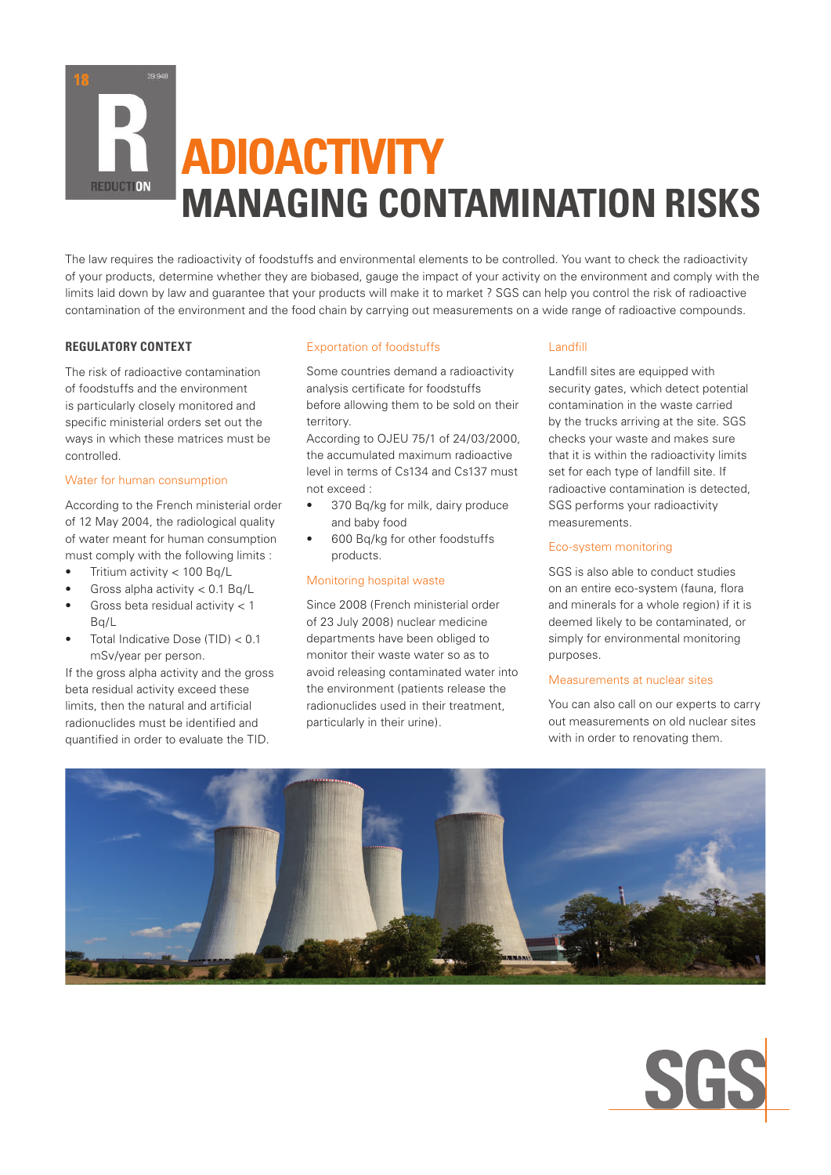# **ADIOACTIVITY MANAGING CONTAMINATION RISKS**

The law requires the radioactivity of foodstuffs and environmental elements to be controlled. You want to check the radioactivity of your products, determine whether they are biobased, gauge the impact of your activity on the environment and comply with the limits laid down by law and guarantee that your products will make it to market ? SGS can help you control the risk of radioactive contamination of the environment and the food chain by carrying out measurements on a wide range of radioactive compounds.

# **REGULATORY CONTEXT**

**REDUCTION** 

The risk of radioactive contamination of foodstuffs and the environment is particularly closely monitored and specific ministerial orders set out the ways in which these matrices must be controlled.

# Water for human consumption

According to the French ministerial order of 12 May 2004, the radiological quality of water meant for human consumption must comply with the following limits :

- Tritium activity  $< 100$  Bg/L
- Gross alpha activity  $< 0.1$  Bq/L
- Gross beta residual activity  $< 1$  $Bq/l$
- Total Indicative Dose  $(TID) < 0.1$ mSv/year per person.

If the gross alpha activity and the gross beta residual activity exceed these limits, then the natural and artificial radionuclides must be identified and quantified in order to evaluate the TID.

# Exportation of foodstuffs

Some countries demand a radioactivity analysis certificate for foodstuffs before allowing them to be sold on their territory.

According to OJEU 75/1 of 24/03/2000, the accumulated maximum radioactive level in terms of Cs134 and Cs137 must not exceed :

- 370 Bq/kg for milk, dairy produce and baby food
- 600 Bq/kg for other foodstuffs products.

# Monitoring hospital waste

Since 2008 (French ministerial order of 23 July 2008) nuclear medicine departments have been obliged to monitor their waste water so as to avoid releasing contaminated water into the environment (patients release the radionuclides used in their treatment, particularly in their urine).

# Landfill

Landfill sites are equipped with security gates, which detect potential contamination in the waste carried by the trucks arriving at the site. SGS checks your waste and makes sure that it is within the radioactivity limits set for each type of landfill site. If radioactive contamination is detected, SGS performs your radioactivity measurements.

# Eco-system monitoring

SGS is also able to conduct studies on an entire eco-system (fauna, flora and minerals for a whole region) if it is deemed likely to be contaminated, or simply for environmental monitoring purposes.

#### Measurements at nuclear sites

You can also call on our experts to carry out measurements on old nuclear sites with in order to renovating them.